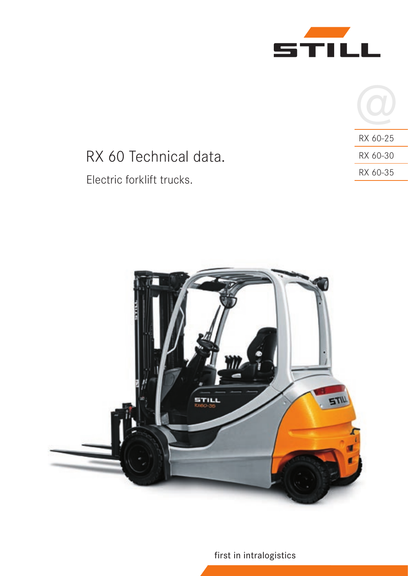

|                           |          | RX 60-25 |
|---------------------------|----------|----------|
| RX 60 Technical data.     |          | RX 60-30 |
| Electric forklift trucks. | RX 60-35 |          |
|                           |          |          |



first in intralogistics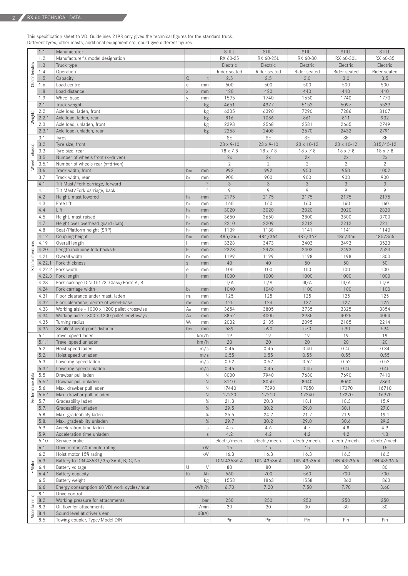This specification sheet to VDI Guidelines 2198 only gives the technical figures for the standard truck. Different tyres, other masts, additional equipment etc. could give different figures.

|                  | 1.1    | Manufacturer                                 |                 |                           | <b>STILL</b>       | <b>STILL</b>       | <b>STILL</b>         | <b>STILL</b>  | <b>STILL</b>   |
|------------------|--------|----------------------------------------------|-----------------|---------------------------|--------------------|--------------------|----------------------|---------------|----------------|
|                  | 1.2    | Manufacturer's model designation             |                 |                           | RX 60-25           | RX 60-25L          | RX 60-30             | RX 60-30L     | RX 60-35       |
|                  | 1.3    | Truck type                                   |                 |                           | Electric           | Electric           | Electric             | Electric      | Electric       |
|                  | 1.4    | Operation                                    |                 |                           | Rider seated       | Rider seated       | Rider seated         | Rider seated  | Rider seated   |
|                  | 1.5    | Capacity                                     | $\mathsf{Q}$    |                           | 2.5                | 2.5                | 3.0                  | 3.0           | 3.5            |
| Characteristics  | 1.6    | Load centre                                  | $\mathbb C$     | mm                        | 500                | 500                | 500                  | 500           | 500            |
|                  | 1.8    | Load distance                                | $\mathsf X$     | mm                        | 420                | 420                | 440                  | 440           | 440            |
|                  |        |                                              |                 |                           | 1595               | 1740               | 1650                 | 1740          | 1770           |
|                  | 1.9    | Wheel base                                   | V               | mm                        |                    |                    |                      |               |                |
|                  | 2.1    | Truck weight                                 |                 | kg                        | 4651               | 4977               | 5152                 | 5097          | 5539           |
|                  | 2.2    | Axle load, laden, front                      |                 | kg                        | 6335               | 6390               | 7290                 | 7286          | 8107           |
| Weights          | 2.2.1  | Axle load, laden, rear                       |                 | kg                        | 816                | 1086               | 861                  | 811           | 932            |
|                  | 2.3    | Axle load, unladen, front                    |                 | kg                        | 2393               | 2568               | 2581                 | 2665          | 2749           |
|                  | 2.3.1  | Axle load, unladen, rear                     |                 | kg                        | 2258               | 2408               | 2570                 | 2432          | 2791           |
|                  | 3.1    | Tyres                                        |                 |                           | <b>SE</b>          | <b>SE</b>          | <b>SE</b>            | <b>SE</b>     | SE             |
|                  | 3.2    | Tyre size, front                             |                 |                           | $23 \times 9 - 10$ | $23 \times 9 - 10$ | 23 x 10-12           | 23 x 10-12    | $315/45 - 12$  |
|                  | 3.3    | Tyre size, rear                              |                 |                           | 18 x 7-8           | 18 x 7-8           | 18 x 7-8             | 18 x 7-8      | 18 x 7-8       |
|                  |        |                                              |                 |                           | 2x                 |                    |                      |               | 2x             |
| Wheel   chassis  | 3.5    | Number of wheels front (x=driven)            |                 |                           | $\overline{2}$     | 2x                 | 2x<br>$\overline{2}$ | 2x<br>2       |                |
|                  | 3.5.1  | Number of wheels rear (x=driven)             |                 |                           |                    | $\overline{2}$     |                      |               | $\overline{2}$ |
|                  | 3.6    | Track width, front                           | $b_{10}$        | mm                        | 992                | 992                | 950                  | 950           | 1002           |
|                  | 3.7    | Track width, rear                            | $b_{11}$        | mm                        | 900                | 900                | 900                  | 900           | 900            |
|                  | 4.1    | Tilt Mast/Fork carriage, forward             |                 | $\circ$                   | $\mathcal{S}$      | 3                  | 3                    | 3             | $\mathfrak{Z}$ |
|                  | 4.1.1  | Tilt Mast/Fork carriage, back                |                 | $\circ$                   | 9                  | 9                  | 9                    | 9             | 9              |
|                  | 4.2    | Height, mast lowered                         | $h_1$           | mm                        | 2175               | 2175               | 2175                 | 2175          | 2175           |
|                  | 4.3    | Free lift                                    | h <sub>2</sub>  | mm                        | 160                | 160                | 160                  | 160           | 160            |
|                  | 4.4    | Lift                                         | h <sub>3</sub>  | mm                        | 3020               | 3020               | 3020                 | 3020          | 2820           |
|                  | 4.5    | Height, mast raised                          | h <sub>4</sub>  | mm                        | 3650               | 3650               | 3800                 | 3800          | 3700           |
|                  | 4.7    | Height over overhead guard (cab)             | h <sub>6</sub>  | mm                        | 2210               | 2209               | 2212                 | 2212          | 2211           |
|                  |        |                                              |                 |                           | 1139               | 1138               | 1141                 | 1141          | 1140           |
|                  | 4.8    | Seat/Platform height (SRP)                   | h <sub>7</sub>  | mm                        |                    |                    |                      |               |                |
|                  | 4.12   | Coupling height                              | $h_{10}$        | mm                        | 485/365            | 484/364            | 487/367              | 486/366       | 485/365        |
|                  | 4.19   | Overall length                               | h.              | mm                        | 3328               | 3473               | 3403                 | 3493          | 3523           |
|                  | 4.20   | Length including fork backs l2               | $\mathsf{I}_2$  | mm                        | 2328               | 2473               | 2403                 | 2493          | 2523           |
|                  | 4.21   | Overall width                                | b <sub>1</sub>  | mm                        | 1199               | 1199               | 1198                 | 1198          | 1300           |
| Basic dimensions | 4.22.1 | Fork thickness                               | $\mathsf{S}$    | mm                        | 40                 | 40                 | 50                   | 50            | 50             |
|                  | 4.22.2 | Fork width                                   | e               | mm                        | 100                | 100                | 100                  | 100           | 100            |
|                  | 4.22.3 | Fork length                                  |                 | mm                        | 1000               | 1000               | 1000                 | 1000          | 1000           |
|                  | 4.23   | Fork carriage DIN 15173, Class/Form A, B     |                 |                           | II/A               | II/A               | III/A                | III/A         | III/A          |
|                  | 4.24   | Fork carriage width                          | b <sub>3</sub>  | mm                        | 1040               | 1040               | 1100                 | 1100          | 1100           |
|                  | 4.31   | Floor clearance under mast, laden            | m <sub>1</sub>  | mm                        | 125                | 125                | 125                  | 125           | 125            |
|                  | 4.32   | Floor clearance, centre of wheel-base        | m <sub>2</sub>  | mm                        | 125                | 124                | 127                  | 127           | 126            |
|                  | 4.33   | Working aisle - 1000 x 1200 pallet crosswise | A <sub>st</sub> | mm                        | 3654               | 3805               | 3735                 | 3825          | 3854           |
|                  | 4.34   | Working aisle - 800 x 1200 pallet lengthways | A <sub>st</sub> | mm                        | 3852               | 4005               | 3935                 | 4025          | 4054           |
|                  | 4.35   | Turning radius                               | W <sub>a</sub>  | mm                        | 2032               | 2185               | 2095                 | 2185          | 2214           |
|                  | 4.36   | Smallest pivot point distance                | $b_{13}$        | mm                        | 539                | 590                | 570                  | 590           | 594            |
|                  | 5.1    | Travel speed laden                           |                 | km/h                      | 19                 | 19                 | 19                   | 19            | 19             |
|                  | 5.1.1  | Travel speed unladen                         |                 | km/h                      | 20                 | 20                 | 20                   | 20            | 20             |
|                  | 5.2    |                                              |                 |                           | 0.46               | 0.45               | 0.40                 | 0.45          | 0.34           |
|                  |        | Hoist speed laden                            |                 | m/s                       |                    |                    |                      |               |                |
|                  | 5.2.1  | Hoist speed unladen                          |                 | m/s                       | 0.55               | 0.55               | 0.55                 | 0.55          | 0.55           |
|                  | 5.3    | Lowering speed laden                         |                 | m/s                       | 0.52               | 0.52               | 0.52                 | 0.52          | 0.52           |
|                  | 5.3.1  | Lowering speed unladen                       |                 | m/s                       | 0.45               | 0.45               | 0.45                 | 0.45          | 0.45           |
|                  | 5.5    | Drawbar pull laden                           |                 | N                         | 8000               | 7940               | 7680                 | 7690          | 7410           |
| Performance data | 5.5.1  | Drawbar pull unladen                         |                 | $\mathbb N$               | 8110               | 8050               | 8040                 | 8060          | 7860           |
|                  | 5.6    | Max. drawbar pull laden                      |                 | $\mathbb N$               | 17440              | 17390              | 17050                | 17070         | 16710          |
|                  | 5.6.1  | Max. drawbar pull unladen                    |                 | $\hbox{N}$                | 17220              | 17210              | 17240                | 17270         | 16970          |
|                  | 5.7    | Gradeability laden                           |                 | $\%$                      | 21.3               | 20.3               | 18.1                 | 18.3          | 15.9           |
|                  | 5.7.1  | Gradeability unladen                         |                 | %                         | 29.5               | 30.2               | 29.0                 | 30.1          | 27.0           |
|                  | 5.8    | Max. gradeability laden                      |                 | $\%$                      | 25.5               | 24.2               | 21.7                 | 21.9          | 19.1           |
|                  | 5.8.1  | Max. gradeability unladen                    |                 | %                         | 29.7               | 30.2               | 29.0                 | 30.6          | 29.2           |
|                  | 5.9    | Acceleration time laden                      |                 |                           | 4.5                |                    | 4.7                  | 4.8           | 4.9            |
|                  |        |                                              |                 | $\ensuremath{\mathsf{S}}$ | 4.2                | 4.6<br>4.2         | 4.2                  | 4.2           | 4.3            |
|                  | 5.9.1  | Acceleration time unladen                    |                 | $\mathsf S$               |                    |                    |                      |               |                |
|                  | 5.10   | Service brake                                |                 |                           | electr./mech.      | electr./mech.      | electr./mech.        | electr./mech. | electr./mech.  |
|                  | 6.1    | Drive motor, 60 minute rating                |                 | kW                        | 15                 | 15                 | 15                   | 15            | 15             |
|                  | 6.2    | Hoist motor 15% rating                       |                 | kW                        | 16.3               | 16.3               | 16.3                 | 16.3          | 16.3           |
|                  | 6.3    | Battery to DIN 43531/35/36 A, B, C, No       |                 |                           | DIN 43536 A        | DIN 43536 A        | DIN 43536 A          | DIN 43536 A   | DIN 43536 A    |
| E-Motor          | 6.4    | Battery voltage                              | U               | $\vee$                    | 80                 | 80                 | 80                   | 80            | 80             |
|                  | 6.4.1  | <b>Battery capacity</b>                      | K <sub>5</sub>  | Ah                        | 560                | 700                | 560                  | 700           | 700            |
|                  | 6.5    | Battery weight                               |                 | kg                        | 1558               | 1863               | 1558                 | 1863          | 1863           |
|                  | 6.6    | Energy consumption 60 VDI work cycles/hour   |                 | kWh/h                     | 6.70               | 7.20               | 7.50                 | 7.70          | 8.60           |
| Miscellaneous    | 8.1    | Drive control                                |                 |                           |                    |                    |                      |               |                |
|                  | 8.2    | Working pressure for attachments             |                 | bar                       | 250                | 250                | 250                  | 250           | 250            |
|                  | 8.3    | Oil flow for attachments                     |                 | 1/min                     | 30                 | 30                 | 30                   | 30            | 30             |
|                  | 8.4    | Sound level at driver's ear                  |                 | dB(A)                     |                    |                    |                      |               |                |
|                  | 8.5    | Towing coupler, Type/Model DIN               |                 |                           | Pin                | Pin                | Pin                  | Pin           | Pin            |
|                  |        |                                              |                 |                           |                    |                    |                      |               |                |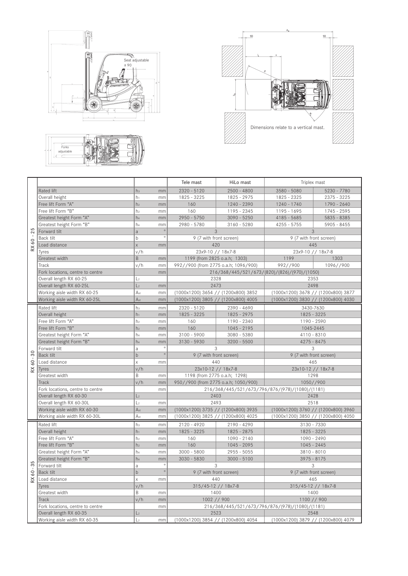





|                                         |                                  |                 |         | Tele mast<br>HiLo mast                                                     |                                                 | Triplex mast                                 |                                     |  |
|-----------------------------------------|----------------------------------|-----------------|---------|----------------------------------------------------------------------------|-------------------------------------------------|----------------------------------------------|-------------------------------------|--|
| $-25$<br>60<br>$\boldsymbol{\approxeq}$ | Rated lift                       | h <sub>3</sub>  | mm      | $2320 - 5120$                                                              | $2500 - 4800$                                   | $3580 - 5080$                                | 5230 - 7780                         |  |
|                                         | Overall height                   | h <sub>1</sub>  | mm      | 1825 - 3225                                                                | 1825 - 2975                                     | 1825 - 2325                                  | $2375 - 3225$                       |  |
|                                         | Free lift Form "A"               | h <sub>2</sub>  | mm      | 160                                                                        | 1240 - 2390                                     | 1240 - 1740                                  | 1790 - 2640                         |  |
|                                         | Free lift Form "B"               | h <sub>2</sub>  | mm      | 160                                                                        | 1195 - 2345                                     | $1195 - 1695$                                | 1745 - 2595                         |  |
|                                         | Greatest height Form "A"         | h <sub>4</sub>  | mm      | $2950 - 5750$                                                              | $3090 - 5250$                                   | $4185 - 5685$                                | 5835 - 8385                         |  |
|                                         | Greatest height Form "B"         | h <sub>4</sub>  | mm      | 2980 - 5780                                                                | $3160 - 5280$                                   | $4255 - 5755$                                | $5905 - 8455$                       |  |
|                                         | Forward tilt                     | a               | $\circ$ |                                                                            | 3                                               | 3                                            |                                     |  |
|                                         | Back tilt                        | b               | $\circ$ | 9 (7 with front screen)                                                    |                                                 | 9 (7 with front screen)                      |                                     |  |
|                                         | Load distance                    | $\mathsf X$     | mm      | 420                                                                        |                                                 | 445                                          |                                     |  |
|                                         | Tyres                            | v/h             |         | 23x9-10 // 18x7-8                                                          |                                                 | 23x9-10 // 18x7-8                            |                                     |  |
|                                         | Greatest width                   | B               | mm      | 1199 (from 2825 o.a.h; 1303)                                               |                                                 | 1199                                         | 1303                                |  |
|                                         | Track                            | v/h             | mm      | 992//900 (from 2775 o.a.h; 1096/900)                                       |                                                 | 992//900                                     | 1096//900                           |  |
|                                         | Fork locations, centre to centre |                 | mm      |                                                                            |                                                 | 216/368/445/521/673/(820)/(826)/(970)/(1050) |                                     |  |
|                                         | Overall length RX 60-25          | L <sub>2</sub>  |         | 2328                                                                       |                                                 | 2353                                         |                                     |  |
|                                         | Overall length RX 60-25L         | L <sub>2</sub>  | mm      | 2473                                                                       |                                                 | 2498                                         |                                     |  |
|                                         | Working aisle width RX 60-25     | A <sub>st</sub> | mm      | (1000x1200) 3654 // (1200x800) 3852                                        |                                                 | (1000x1200) 3678 // (1200x800) 3877          |                                     |  |
|                                         | Working aisle width RX 60-25L    | A <sub>st</sub> | mm      |                                                                            | (1000x1200) 3805 // (1200x800) 4005             | (1000x1200) 3830 // (1200x800) 4030          |                                     |  |
|                                         | Rated lift                       | h <sub>3</sub>  | mm      | $2320 - 5120$                                                              | 2390 - 4690                                     | 3430-7630                                    |                                     |  |
|                                         | Overall height                   | $h_1$           | mm      | 1825 - 3225                                                                | 1825 - 2975                                     | 1825 - 3225                                  |                                     |  |
|                                         | Free lift Form "A"               | h <sub>2</sub>  | mm      | 160                                                                        | 1190 - 2340                                     | 1190 - 2590                                  |                                     |  |
|                                         | Free lift Form "B"               | h <sub>2</sub>  | mm      | 160                                                                        | $1045 - 2195$                                   | 1045-2445                                    |                                     |  |
|                                         | Greatest height Form "A"         | h <sub>4</sub>  | mm      | $3100 - 5900$                                                              | $3080 - 5380$                                   | $4110 - 8310$                                |                                     |  |
|                                         | Greatest height Form "B"         | h <sub>4</sub>  | mm      | $3130 - 5930$                                                              | $3200 - 5500$                                   | $4275 - 8475$                                |                                     |  |
|                                         | Forward tilt                     | a               | $\circ$ | 3<br>3                                                                     |                                                 |                                              |                                     |  |
| $60 - 30$                               | Back tilt                        | $b$             | $\circ$ | 9 (7 with front screen)                                                    |                                                 | 9 (7 with front screen)                      |                                     |  |
|                                         | Load distance                    | X               | mm      | 440                                                                        |                                                 | 465                                          |                                     |  |
| $\approx$                               | Tyres                            | v/h             |         | 23x10-12 // 18x7-8                                                         |                                                 | 23x10-12 // 18x7-8                           |                                     |  |
|                                         | Greatest width                   | B               | mm      | 1198 (from 2775 o.a.h; 1298)                                               |                                                 | 1298                                         |                                     |  |
|                                         | Track                            | v/h             | mm      | 950//900 (from 2775 o.a.h; 1050/900)                                       |                                                 | 1050//900                                    |                                     |  |
|                                         | Fork locations, centre to centre |                 | mm      |                                                                            | 216/368/445/521/673/796/876/(978)/(1080)/(1181) |                                              |                                     |  |
|                                         | Overall length RX 60-30          | L <sub>2</sub>  |         | 2403                                                                       |                                                 | 2428                                         |                                     |  |
|                                         | Overall length RX 60-30L         | L <sub>2</sub>  | mm      | 2493                                                                       |                                                 | 2518                                         |                                     |  |
|                                         | Working aisle width RX 60-30     | A <sub>st</sub> | mm      | (1000x1200) 3735 // (1200x800) 3935                                        |                                                 |                                              | (1000x1200) 3760 // (1200x800) 3960 |  |
|                                         | Working aisle width RX 60-30L    | A <sub>st</sub> | mm      | (1000x1200) 3825 // (1200x800) 4025<br>(1000x1200) 3850 // (1200x800) 4050 |                                                 |                                              |                                     |  |
|                                         | Rated lift                       | h <sub>3</sub>  | mm      | $2120 - 4920$                                                              | $2190 - 4290$<br>3130 - 7330                    |                                              |                                     |  |
|                                         | Overall height                   | $h_1$           | mm      | 1825 - 3225<br>1825 - 3225<br>1825 - 2875                                  |                                                 |                                              |                                     |  |
|                                         | Free lift Form "A"               | h <sub>2</sub>  | mm      | 160                                                                        | $1090 - 2140$                                   | 1090 - 2490                                  |                                     |  |
|                                         | Free lift Form "B"               | h <sub>2</sub>  | mm      | 160<br>$1045 - 2095$                                                       |                                                 | $1045 - 2445$                                |                                     |  |
|                                         | Greatest height Form "A"         | h <sub>4</sub>  | mm      | $3000 - 5800$<br>$2955 - 5055$                                             |                                                 | $3810 - 8010$                                |                                     |  |
|                                         | Greatest height Form "B"         | h <sub>4</sub>  | mm      | $3030 - 5830$<br>$3000 - 5100$                                             |                                                 | $3975 - 8175$                                |                                     |  |
| 35                                      | Forward tilt                     | a               | $\circ$ | 3                                                                          |                                                 | 3                                            |                                     |  |
| 60                                      | Back tilt                        | $\mathsf b$     | $\circ$ | 9 (7 with front screen)                                                    |                                                 | 9 (7 with front screen)                      |                                     |  |
| $\approx$                               | Load distance                    | $\mathsf{X}$    | mm      | 440                                                                        |                                                 | 465                                          |                                     |  |
|                                         | Tyres                            | v/h             |         | 315/45-12 // 18x7-8                                                        |                                                 | 315/45-12 // 18x7-8                          |                                     |  |
|                                         | Greatest width                   | B               | mm      | 1400                                                                       |                                                 | 1400                                         |                                     |  |
|                                         | Track                            | v/h             | mm      | 1002 // 900                                                                |                                                 | 1100 // 900                                  |                                     |  |
|                                         | Fork locations, centre to centre |                 | mm      | 216/368/445/521/673/796/876/(978)/(1080)/(1181)                            |                                                 |                                              |                                     |  |
|                                         | Overall length RX 60-35          | L <sub>2</sub>  |         | 2523                                                                       |                                                 | 2548                                         |                                     |  |
|                                         | Working aisle width RX 60-35     | L <sub>2</sub>  | mm      | (1000x1200) 3854 // (1200x800) 4054<br>(1000x1200) 3879 // (1200x800) 4079 |                                                 |                                              |                                     |  |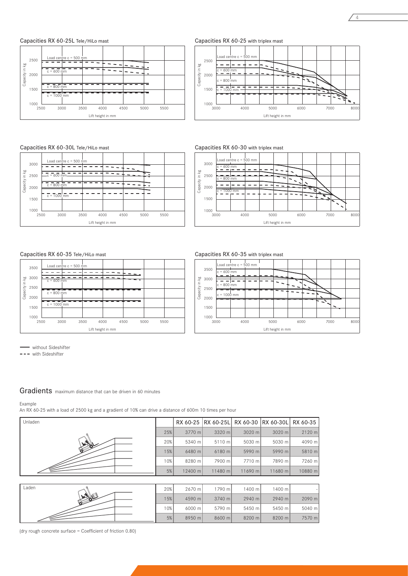Capacities RX 60-25L Tele/HiLo mast

Capacities RX 60-30L Tele/HiLo mast

Load centre c = 500 mm

c = 800 mm

c = 1000 mm

 $-60$ 

 $\frac{60}{6}$ <br>  $\frac{2500}{60}$ <br>  $\frac{2000}{60}$ 2500 2000 1500

 $1000$  L<br>2500



Capacities RX 60-25 with triplex mast



4

Capacities RX 60-30 with triplex mast



Lift height in mm

 $\sim$ 



Capacities RX 60-35 with triplex mast  $\begin{array}{c} \hline \text{I} \\ \text{ad centre c} = 500 \text{ mm} \end{array}$ 

c = 1000 mm

٠|۰

 $= 600$  mm = c = 1<br>= 800 mm



 2500 3000 3500 4000 4500 5000 5500 Lift height in mm

 $\sim$ 

L.

- without Sideshifter

 $---$  with Sideshifter

Gradients maximum distance that can be driven in 60 minutes

#### Example

An RX 60-25 with a load of 2500 kg and a gradient of 10% can drive a distance of 600m 10 times per hour



(dry rough concrete surface = Coefficient of friction 0.80)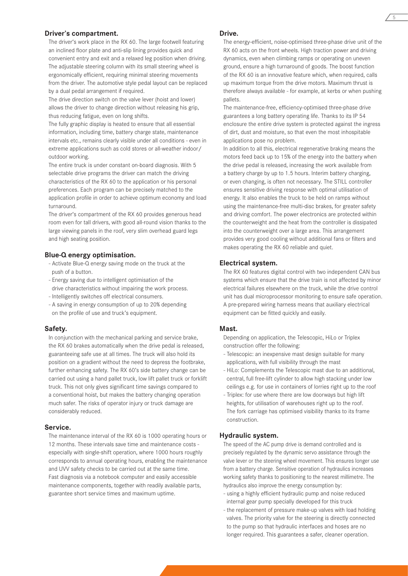#### **Driver's compartment.**

The driver's work place in the RX 60. The large footwell featuring an inclined floor plate and anti-slip lining provides quick and convenient entry and exit and a relaxed leg position when driving. The adjustable steering column with its small steering wheel is ergonomically efficient, requiring minimal steering movements from the driver. The automotive style pedal layout can be replaced by a dual pedal arrangement if required.

The drive direction switch on the valve lever (hoist and lower) allows the driver to change direction without releasing his grip, thus reducing fatigue, even on long shifts.

The fully graphic display is heated to ensure that all essential information, including time, battery charge state, maintenance intervals etc., remains clearly visible under all conditions - even in extreme applications such as cold stores or all-weather indoor/ outdoor working.

The entire truck is under constant on-board diagnosis. With 5 selectable drive programs the driver can match the driving characteristics of the RX 60 to the application or his personal preferences. Each program can be precisely matched to the application profile in order to achieve optimum economy and load turnaround.

The driver's compartment of the RX 60 provides generous head room even for tall drivers, with good all-round vision thanks to the large viewing panels in the roof, very slim overhead guard legs and high seating position.

## **Blue-Q energy optimisation.**

- Activate Blue-Q energy saving mode on the truck at the push of a button.
- Energy saving due to intelligent optimisation of the drive characteristics without impairing the work process.
- Intelligently switches off electrical consumers.
- A saving in energy consumption of up to 20% depending on the profile of use and truck's equipment.

#### **Safety.**

In conjunction with the mechanical parking and service brake, the RX 60 brakes automatically when the drive pedal is released, guaranteeing safe use at all times. The truck will also hold its position on a gradient without the need to depress the footbrake, further enhancing safety. The RX 60's side battery change can be carried out using a hand pallet truck, low lift pallet truck or forklift truck. This not only gives significant time savings compared to a conventional hoist, but makes the battery changing operation much safer. The risks of operator injury or truck damage are considerably reduced.

#### **Service.**

The maintenance interval of the RX 60 is 1000 operating hours or 12 months. These intervals save time and maintenance costs especially with single-shift operation, where 1000 hours roughly corresponds to annual operating hours, enabling the maintenance and UVV safety checks to be carried out at the same time. Fast diagnosis via a notebook computer and easily accessible maintenance components, together with readily available parts, guarantee short service times and maximum uptime.

# **Drive.**

The energy-efficient, noise-optimised three-phase drive unit of the RX 60 acts on the front wheels. High traction power and driving dynamics, even when climbing ramps or operating on uneven ground, ensure a high turnaround of goods. The boost function of the RX 60 is an innovative feature which, when required, calls up maximum torque from the drive motors. Maximum thrust is therefore always available - for example, at kerbs or when pushing pallets.

The maintenance-free, efficiency-optimised three-phase drive guarantees a long battery operating life. Thanks to its IP 54 enclosure the entire drive system is protected against the ingress of dirt, dust and moisture, so that even the most inhospitable applications pose no problem.

In addition to all this, electrical regenerative braking means the motors feed back up to 15% of the energy into the battery when the drive pedal is released, increasing the work available from a battery charge by up to 1.5 hours. Interim battery charging, or even changing, is often not necessary. The STILL controller ensures sensitive driving response with optimal utilisation of energy. It also enables the truck to be held on ramps without using the maintenance-free multi-disc brakes, for greater safety and driving comfort. The power electronics are protected within the counterweight and the heat from the controller is dissipated into the counterweight over a large area. This arrangement provides very good cooling without additional fans or filters and makes operating the RX 60 reliable and quiet.

#### **Electrical system.**

The RX 60 features digital control with two independent CAN bus systems which ensure that the drive train is not affected by minor electrical failures elsewhere on the truck, while the drive control unit has dual microprocessor monitoring to ensure safe operation. A pre-prepared wiring harness means that auxiliary electrical equipment can be fitted quickly and easily.

# **Mast.**

Depending on application, the Telescopic, HiLo or Triplex construction offer the following:

- Telescopic: an inexpensive mast design suitable for many applications, with full visibility through the mast
- HiLo: Complements the Telescopic mast due to an additional, central, full free-lift cylinder to allow high stacking under low ceilings e.g. for use in containers of lorries right up to the roof
- Triplex: for use where there are low doorways but high lift heights, for utilisation of warehouses right up to the roof. The fork carriage has optimised visibility thanks to its frame construction.

#### **Hydraulic system.**

The speed of the AC pump drive is demand controlled and is precisely regulated by the dynamic servo assistance through the valve lever or the steering wheel movement. This ensures longer use from a battery charge. Sensitive operation of hydraulics increases working safety thanks to positioning to the nearest millimetre. The hydraulics also improve the energy consumption by:

- using a highly efficient hydraulic pump and noise reduced internal gear pump specially developed for this truck
- the replacement of pressure make-up valves with load holding valves. The priority valve for the steering is directly connected to the pump so that hydraulic interfaces and hoses are no longer required. This guarantees a safer, cleaner operation.

5